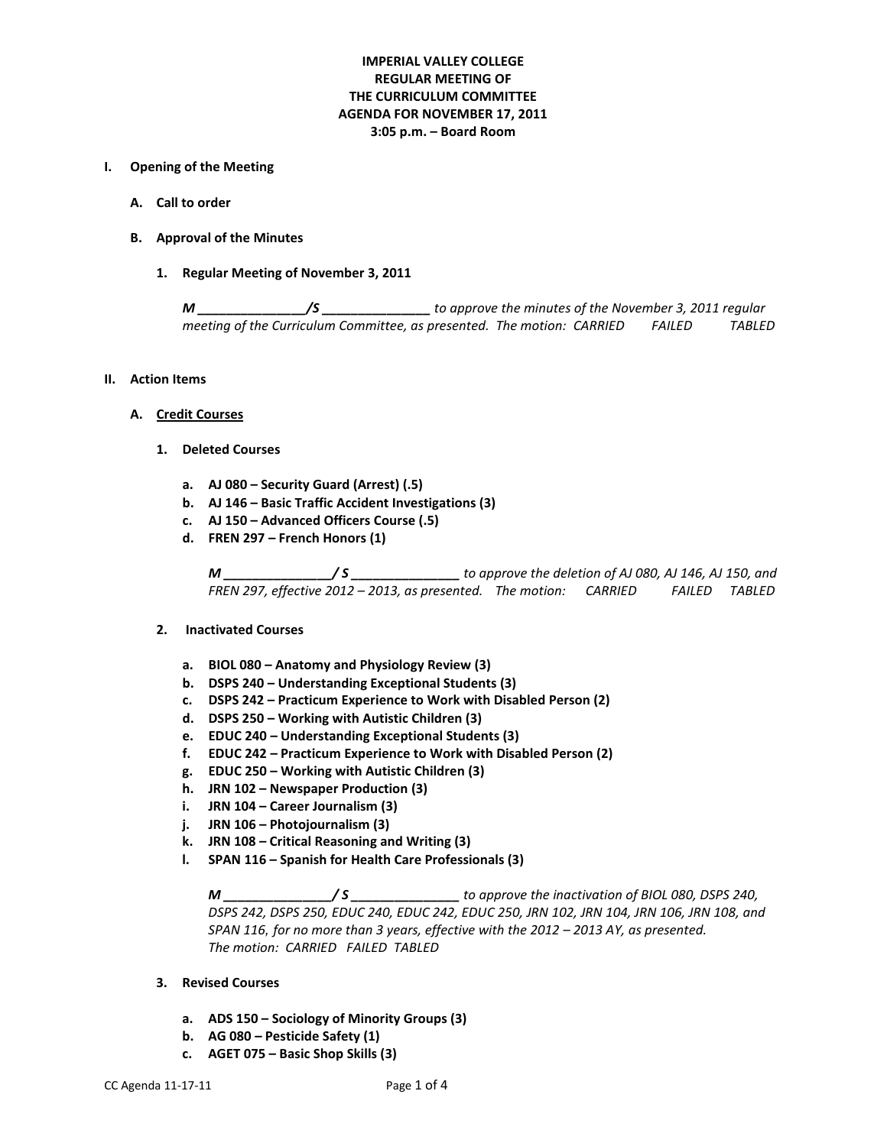# **IMPERIAL VALLEY COLLEGE REGULAR MEETING OF THE CURRICULUM COMMITTEE AGENDA FOR NOVEMBER 17, 2011 3:05 p.m. – Board Room**

### **I. Opening of the Meeting**

- **A. Call to order**
- **B. Approval of the Minutes**
	- **1. Regular Meeting of November 3, 2011**

*M \_\_\_\_\_\_\_\_\_\_\_\_\_\_\_/S \_\_\_\_\_\_\_\_\_\_\_\_\_\_\_ to approve the minutes of the November 3, 2011 regular meeting of the Curriculum Committee, as presented. The motion: CARRIED FAILED TABLED*

- **II. Action Items**
	- **A. Credit Courses**
		- **1. Deleted Courses**
			- **a. AJ 080 – Security Guard (Arrest) (.5)**
			- **b. AJ 146 – Basic Traffic Accident Investigations (3)**
			- **c. AJ 150 – Advanced Officers Course (.5)**
			- **d. FREN 297 – French Honors (1)**

*M \_\_\_\_\_\_\_\_\_\_\_\_\_\_\_/ S \_\_\_\_\_\_\_\_\_\_\_\_\_\_\_ to approve the deletion of AJ 080, AJ 146, AJ 150, and FREN 297, effective 2012 – 2013, as presented. The motion: CARRIED FAILED TABLED*

#### **2. Inactivated Courses**

- **a. BIOL 080 – Anatomy and Physiology Review (3)**
- **b. DSPS 240 – Understanding Exceptional Students (3)**
- **c. DSPS 242 – Practicum Experience to Work with Disabled Person (2)**
- **d. DSPS 250 – Working with Autistic Children (3)**
- **e. EDUC 240 – Understanding Exceptional Students (3)**
- **f. EDUC 242 – Practicum Experience to Work with Disabled Person (2)**
- **g. EDUC 250 – Working with Autistic Children (3)**
- **h. JRN 102 – Newspaper Production (3)**
- **i. JRN 104 – Career Journalism (3)**
- **j. JRN 106 – Photojournalism (3)**
- **k. JRN 108 – Critical Reasoning and Writing (3)**
- **l. SPAN 116 – Spanish for Health Care Professionals (3)**

*M \_\_\_\_\_\_\_\_\_\_\_\_\_\_\_/ S \_\_\_\_\_\_\_\_\_\_\_\_\_\_\_ to approve the inactivation of BIOL 080, DSPS 240, DSPS 242, DSPS 250, EDUC 240, EDUC 242, EDUC 250, JRN 102, JRN 104, JRN 106, JRN 108, and SPAN 116, for no more than 3 years, effective with the 2012 – 2013 AY, as presented. The motion: CARRIED FAILED TABLED*

- **3. Revised Courses**
	- **a. ADS 150 – Sociology of Minority Groups (3)**
	- **b. AG 080 – Pesticide Safety (1)**
	- **c. AGET 075 – Basic Shop Skills (3)**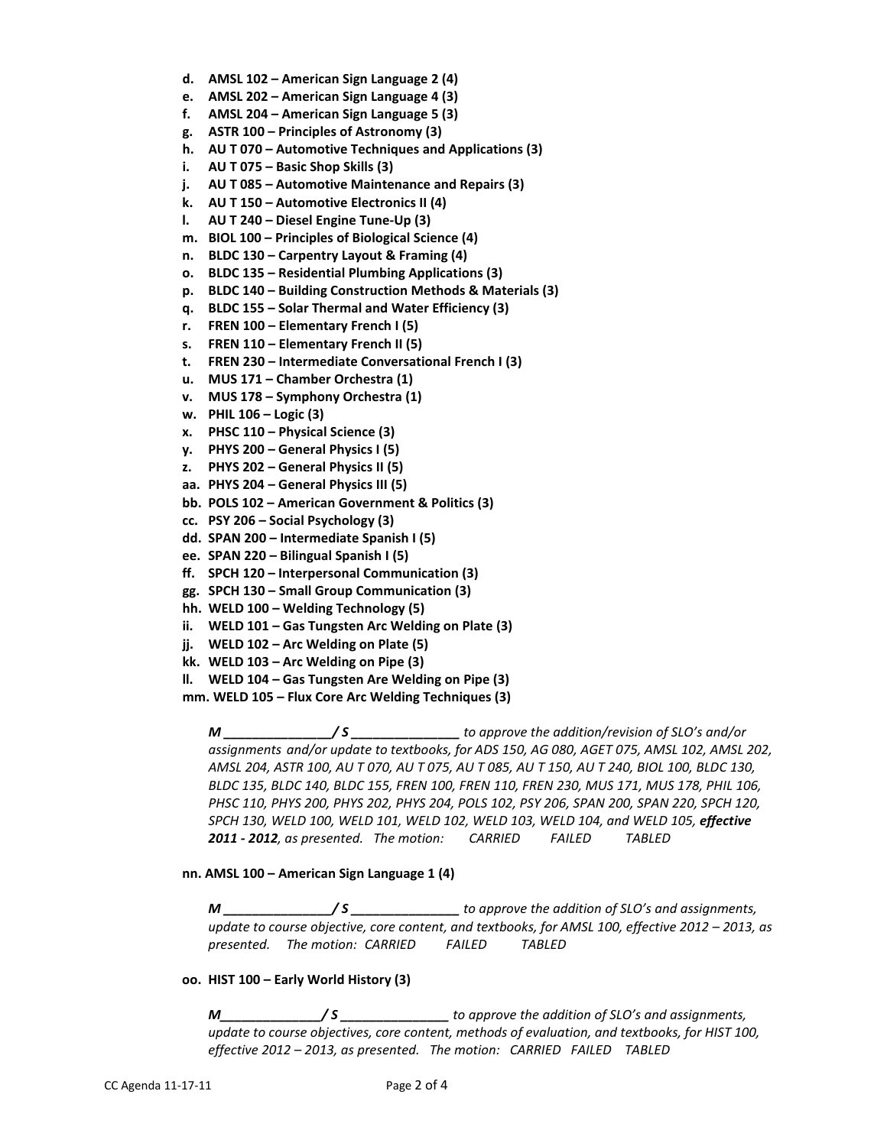- **d. AMSL 102 – American Sign Language 2 (4)**
- **e. AMSL 202 – American Sign Language 4 (3)**
- **f. AMSL 204 – American Sign Language 5 (3)**
- **g. ASTR 100 – Principles of Astronomy (3)**
- **h. AU T 070 – Automotive Techniques and Applications (3)**
- **i. AU T 075 – Basic Shop Skills (3)**
- **j. AU T 085 – Automotive Maintenance and Repairs (3)**
- **k. AU T 150 – Automotive Electronics II (4)**
- **l. AU T 240 – Diesel Engine Tune-Up (3)**
- **m. BIOL 100 – Principles of Biological Science (4)**
- **n. BLDC 130 – Carpentry Layout & Framing (4)**
- **o. BLDC 135 – Residential Plumbing Applications (3)**
- **p. BLDC 140 – Building Construction Methods & Materials (3)**
- **q. BLDC 155 – Solar Thermal and Water Efficiency (3)**
- **r. FREN 100 – Elementary French I (5)**
- **s. FREN 110 – Elementary French II (5)**
- **t. FREN 230 – Intermediate Conversational French I (3)**
- **u. MUS 171 – Chamber Orchestra (1)**
- **v. MUS 178 – Symphony Orchestra (1)**
- **w. PHIL 106 – Logic (3)**
- **x. PHSC 110 – Physical Science (3)**
- **y. PHYS 200 – General Physics I (5)**
- **z. PHYS 202 – General Physics II (5)**
- **aa. PHYS 204 – General Physics III (5)**
- **bb. POLS 102 – American Government & Politics (3)**
- **cc. PSY 206 – Social Psychology (3)**
- **dd. SPAN 200 – Intermediate Spanish I (5)**
- **ee. SPAN 220 – Bilingual Spanish I (5)**
- **ff. SPCH 120 – Interpersonal Communication (3)**
- **gg. SPCH 130 – Small Group Communication (3)**
- **hh. WELD 100 – Welding Technology (5)**
- **ii. WELD 101 – Gas Tungsten Arc Welding on Plate (3)**
- **jj. WELD 102 – Arc Welding on Plate (5)**
- **kk. WELD 103 – Arc Welding on Pipe (3)**
- **ll. WELD 104 – Gas Tungsten Are Welding on Pipe (3)**

**mm. WELD 105 – Flux Core Arc Welding Techniques (3)**

*M \_\_\_\_\_\_\_\_\_\_\_\_\_\_\_/ S \_\_\_\_\_\_\_\_\_\_\_\_\_\_\_ to approve the addition/revision of SLO's and/or assignments and/or update to textbooks, for ADS 150, AG 080, AGET 075, AMSL 102, AMSL 202, AMSL 204, ASTR 100, AU T 070, AU T 075, AU T 085, AU T 150, AU T 240, BIOL 100, BLDC 130, BLDC 135, BLDC 140, BLDC 155, FREN 100, FREN 110, FREN 230, MUS 171, MUS 178, PHIL 106, PHSC 110, PHYS 200, PHYS 202, PHYS 204, POLS 102, PSY 206, SPAN 200, SPAN 220, SPCH 120, SPCH 130, WELD 100, WELD 101, WELD 102, WELD 103, WELD 104, and WELD 105, effective 2011 - 2012, as presented. The motion: CARRIED FAILED TABLED*

#### **nn. AMSL 100 – American Sign Language 1 (4)**

*M \_\_\_\_\_\_\_\_\_\_\_\_\_\_\_/ S \_\_\_\_\_\_\_\_\_\_\_\_\_\_\_ to approve the addition of SLO's and assignments, update to course objective, core content, and textbooks, for AMSL 100, effective 2012 – 2013, as presented. The motion: CARRIED FAILED TABLED*

**oo. HIST 100 – Early World History (3)**

*M\_\_\_\_\_\_\_\_\_\_\_\_\_\_/ S \_\_\_\_\_\_\_\_\_\_\_\_\_\_\_ to approve the addition of SLO's and assignments, update to course objectives, core content, methods of evaluation, and textbooks, for HIST 100, effective 2012 – 2013, as presented. The motion: CARRIED FAILED TABLED*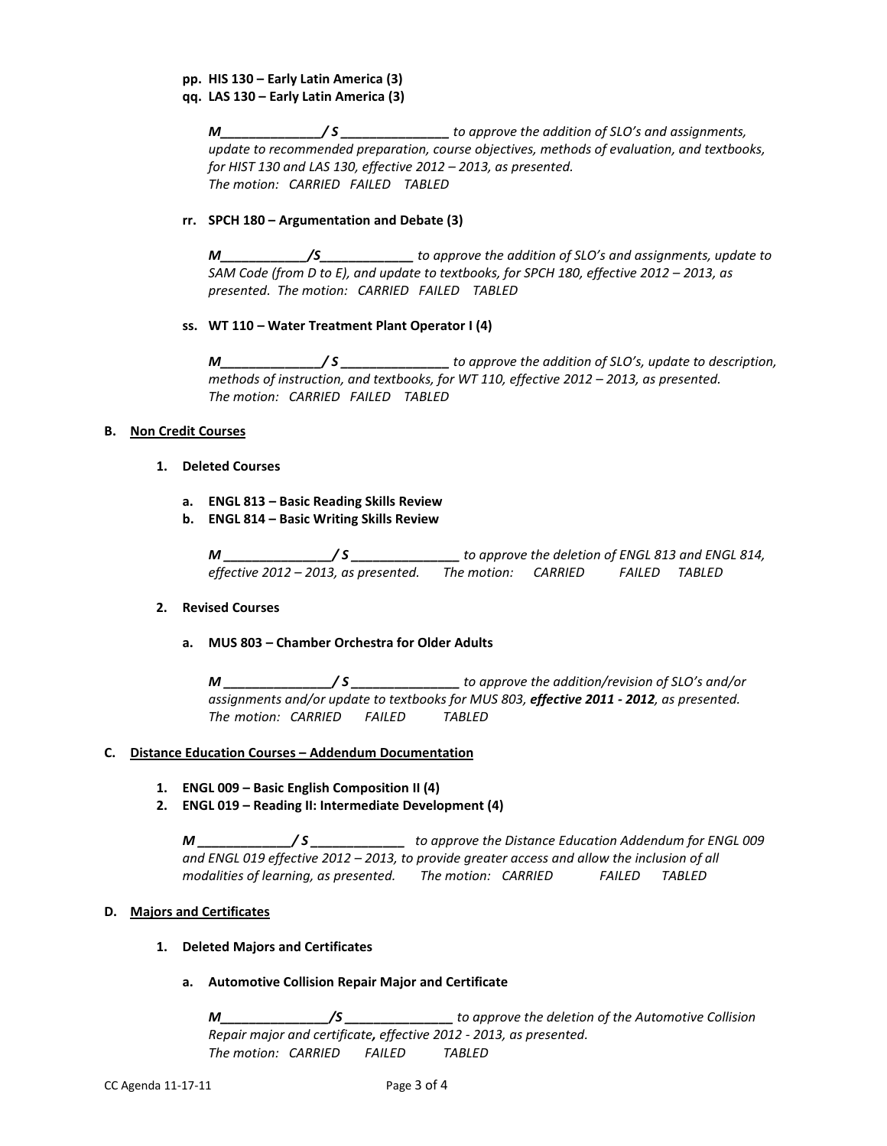# **pp. HIS 130 – Early Latin America (3)**

**qq. LAS 130 – Early Latin America (3)**

*M\_\_\_\_\_\_\_\_\_\_\_\_\_\_/ S \_\_\_\_\_\_\_\_\_\_\_\_\_\_\_ to approve the addition of SLO's and assignments, update to recommended preparation, course objectives, methods of evaluation, and textbooks, for HIST 130 and LAS 130, effective 2012 – 2013, as presented. The motion: CARRIED FAILED TABLED*

## **rr. SPCH 180 – Argumentation and Debate (3)**

*M\_\_\_\_\_\_\_\_\_\_\_\_/S\_\_\_\_\_\_\_\_\_\_\_\_\_ to approve the addition of SLO's and assignments, update to SAM Code (from D to E), and update to textbooks, for SPCH 180, effective 2012 – 2013, as presented. The motion: CARRIED FAILED TABLED*

## **ss. WT 110 – Water Treatment Plant Operator I (4)**

*M\_\_\_\_\_\_\_\_\_\_\_\_\_\_/ S \_\_\_\_\_\_\_\_\_\_\_\_\_\_\_ to approve the addition of SLO's, update to description, methods of instruction, and textbooks, for WT 110, effective 2012 – 2013, as presented. The motion: CARRIED FAILED TABLED*

## **B. Non Credit Courses**

- **1. Deleted Courses**
	- **a. ENGL 813 – Basic Reading Skills Review**
	- **b. ENGL 814 – Basic Writing Skills Review**

*M \_\_\_\_\_\_\_\_\_\_\_\_\_\_\_/ S \_\_\_\_\_\_\_\_\_\_\_\_\_\_\_ to approve the deletion of ENGL 813 and ENGL 814, effective 2012 – 2013, as presented. The motion: CARRIED FAILED TABLED*

### **2. Revised Courses**

# **a. MUS 803 – Chamber Orchestra for Older Adults**

*M \_\_\_\_\_\_\_\_\_\_\_\_\_\_\_/ S \_\_\_\_\_\_\_\_\_\_\_\_\_\_\_ to approve the addition/revision of SLO's and/or assignments and/or update to textbooks for MUS 803, effective 2011 - 2012, as presented. The motion: CARRIED FAILED TABLED*

### **C. Distance Education Courses – Addendum Documentation**

- **1. ENGL 009 – Basic English Composition II (4)**
- **2. ENGL 019 – Reading II: Intermediate Development (4)**

*M \_\_\_\_\_\_\_\_\_\_\_\_\_/ S \_\_\_\_\_\_\_\_\_\_\_\_\_ to approve the Distance Education Addendum for ENGL 009 and ENGL 019 effective 2012 – 2013, to provide greater access and allow the inclusion of all modalities of learning, as presented. The motion: CARRIED FAILED TABLED*

### **D. Majors and Certificates**

### **1. Deleted Majors and Certificates**

# **a. Automotive Collision Repair Major and Certificate**

*M\_\_\_\_\_\_\_\_\_\_\_\_\_\_\_/S \_\_\_\_\_\_\_\_\_\_\_\_\_\_\_ to approve the deletion of the Automotive Collision Repair major and certificate, effective 2012 - 2013, as presented. The motion: CARRIED FAILED TABLED*